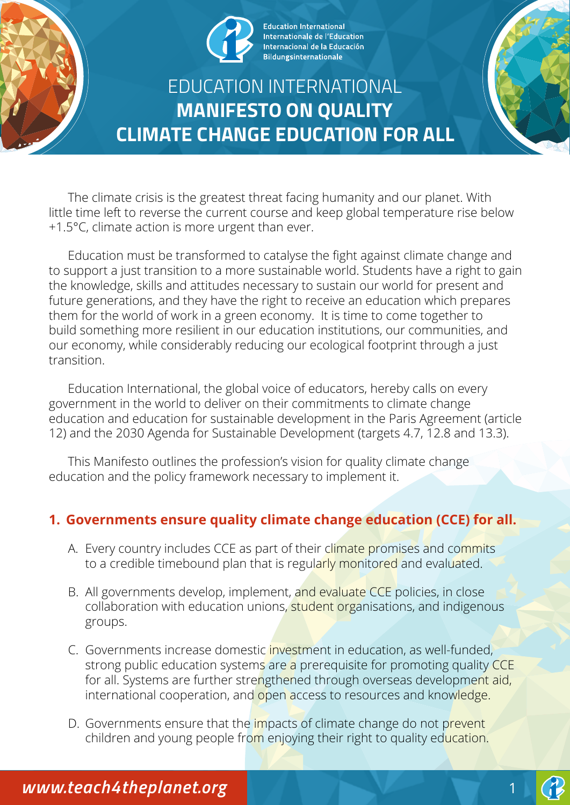

**Education International** Internationale de l'Education Internacional de la Educación **Bildungsinternationale** 

# EDUCATION INTERNATIONAL **MANIFESTO ON QUALITY CLIMATE CHANGE EDUCATION FOR ALL**

The climate crisis is the greatest threat facing humanity and our planet. With little time left to reverse the current course and keep global temperature rise below +1.5°C, climate action is more urgent than ever.

Education must be transformed to catalyse the fight against climate change and to support a just transition to a more sustainable world. Students have a right to gain the knowledge, skills and attitudes necessary to sustain our world for present and future generations, and they have the right to receive an education which prepares them for the world of work in a green economy. It is time to come together to build something more resilient in our education institutions, our communities, and our economy, while considerably reducing our ecological footprint through a just transition.

Education International, the global voice of educators, hereby calls on every government in the world to deliver on their commitments to climate change education and education for sustainable development in the Paris Agreement (article 12) and the 2030 Agenda for Sustainable Development (targets 4.7, 12.8 and 13.3).

This Manifesto outlines the profession's vision for quality climate change education and the policy framework necessary to implement it.

# **1. Governments ensure quality climate change education (CCE) for all.**

- A. Every country includes CCE as part of their climate promises and commits to a credible timebound plan that is regularly monitored and evaluated.
- B. All governments develop, implement, and evaluate CCE policies, in close collaboration with education unions, student organisations, and indigenous groups.
- C. Governments increase domestic investment in education, as well-funded, strong public education systems are a prerequisite for promoting quality CCE for all. Systems are further strengthened through overseas development aid, international cooperation, and open access to resources and knowledge.
- D. Governments ensure that the *impacts* of climate change do not prevent children and young people from enjoying their right to quality education.



1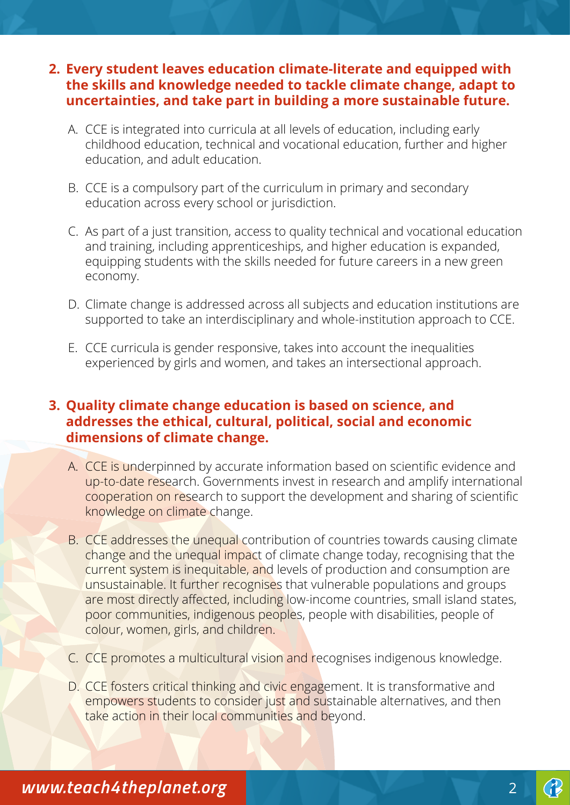#### **2. Every student leaves education climate-literate and equipped with the skills and knowledge needed to tackle climate change, adapt to uncertainties, and take part in building a more sustainable future.**

- A. CCE is integrated into curricula at all levels of education, including early childhood education, technical and vocational education, further and higher education, and adult education.
- B. CCE is a compulsory part of the curriculum in primary and secondary education across every school or jurisdiction.
- C. As part of a just transition, access to quality technical and vocational education and training, including apprenticeships, and higher education is expanded, equipping students with the skills needed for future careers in a new green economy.
- D. Climate change is addressed across all subjects and education institutions are supported to take an interdisciplinary and whole-institution approach to CCE.
- E. CCE curricula is gender responsive, takes into account the inequalities experienced by girls and women, and takes an intersectional approach.

## **3. Quality climate change education is based on science, and addresses the ethical, cultural, political, social and economic dimensions of climate change.**

- A. CCE is underpinned by accurate information based on scientific evidence and up-to-date research. Governments invest in research and amplify international cooperation on research to support the development and sharing of scientific knowledge on climate change.
- B. CCE addresses the unequal contribution of countries towards causing climate change and the unequal impact of climate change today, recognising that the current system is inequitable, and levels of production and consumption are unsustainable. It further recognises that vulnerable populations and groups are most directly affected, including low-income countries, small island states, poor communities, indigenous peoples, people with disabilities, people of colour, women, girls, and children.
- C. CCE promotes a multicultural vision and recognises indigenous knowledge.
- D. CCE fosters critical thinking and civic engagement. It is transformative and empowers students to consider just and sustainable alternatives, and then take action in their local communities and beyond.

*www.teach4theplanet.org* 2 *www.teach4theplanet.org*